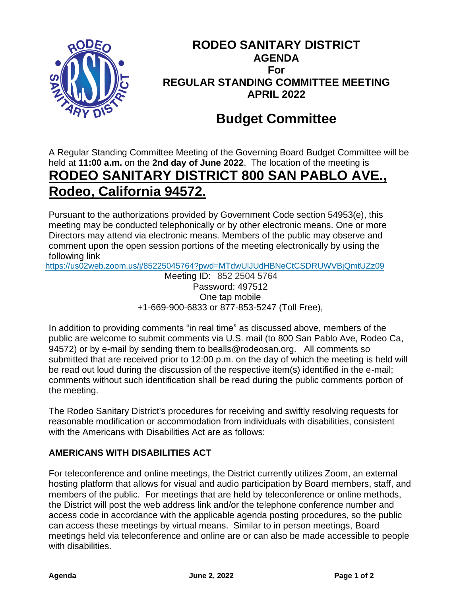

# **RODEO SANITARY DISTRICT AGENDA For REGULAR STANDING COMMITTEE MEETING APRIL 2022**

# **Budget Committee**

A Regular Standing Committee Meeting of the Governing Board Budget Committee will be held at **11:00 a.m.** on the **2nd day of June 2022**. The location of the meeting is **RODEO SANITARY DISTRICT 800 SAN PABLO AVE., Rodeo, California 94572.**

Pursuant to the authorizations provided by Government Code section 54953(e), this meeting may be conducted telephonically or by other electronic means. One or more Directors may attend via electronic means. Members of the public may observe and comment upon the open session portions of the meeting electronically by using the following link

<https://us02web.zoom.us/j/85225045764?pwd=MTdwUlJUdHBNeCtCSDRUWVBjQmtUZz09>

Meeting ID: 852 2504 5764 Password: 497512 One tap mobile +1-669-900-6833 or 877-853-5247 (Toll Free),

In addition to providing comments "in real time" as discussed above, members of the public are welcome to submit comments via U.S. mail (to 800 San Pablo Ave, Rodeo Ca, 94572) or by e-mail by sending them to bealls@rodeosan.org. All comments so submitted that are received prior to 12:00 p.m. on the day of which the meeting is held will be read out loud during the discussion of the respective item(s) identified in the e-mail; comments without such identification shall be read during the public comments portion of the meeting.

The Rodeo Sanitary District's procedures for receiving and swiftly resolving requests for reasonable modification or accommodation from individuals with disabilities, consistent with the Americans with Disabilities Act are as follows:

### **AMERICANS WITH DISABILITIES ACT**

For teleconference and online meetings, the District currently utilizes Zoom, an external hosting platform that allows for visual and audio participation by Board members, staff, and members of the public. For meetings that are held by teleconference or online methods, the District will post the web address link and/or the telephone conference number and access code in accordance with the applicable agenda posting procedures, so the public can access these meetings by virtual means. Similar to in person meetings, Board meetings held via teleconference and online are or can also be made accessible to people with disabilities.